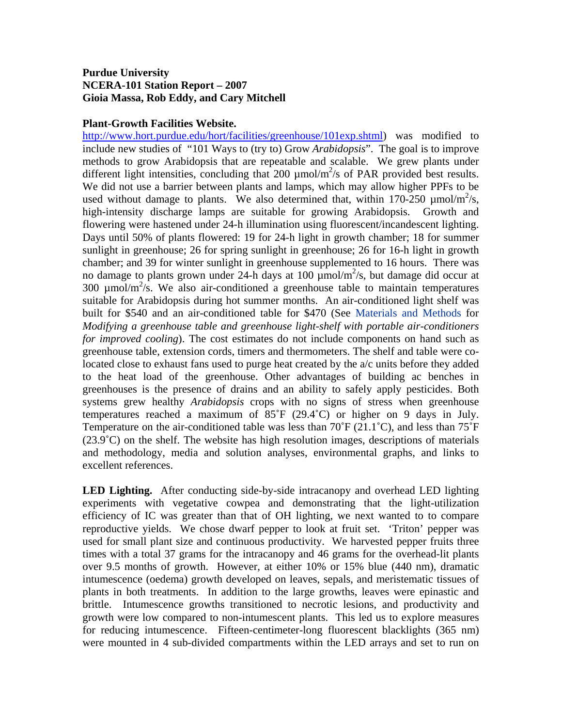## **Purdue University NCERA-101 Station Report – 2007 Gioia Massa, Rob Eddy, and Cary Mitchell**

## **Plant-Growth Facilities Website.**

<http://www.hort.purdue.edu/hort/facilities/greenhouse/101exp.shtml>) was modified to include new studies of "101 Ways to (try to) Grow *Arabidopsis*". The goal is to improve methods to grow Arabidopsis that are repeatable and scalable. We grew plants under different light intensities, concluding that  $200 \mu$ mol/m<sup>2</sup>/s of PAR provided best results. We did not use a barrier between plants and lamps, which may allow higher PPFs to be used without damage to plants. We also determined that, within  $170-250 \mu m o l/m^2/s$ , high-intensity discharge lamps are suitable for growing Arabidopsis. Growth and flowering were hastened under 24-h illumination using fluorescent/incandescent lighting. Days until 50% of plants flowered: 19 for 24-h light in growth chamber; 18 for summer sunlight in greenhouse; 26 for spring sunlight in greenhouse; 26 for 16-h light in growth chamber; and 39 for winter sunlight in greenhouse supplemented to 16 hours. There was no damage to plants grown under 24-h days at 100  $\mu$ mol/m<sup>2</sup>/s, but damage did occur at 300  $\mu$ mol/m<sup>2</sup>/s. We also air-conditioned a greenhouse table to maintain temperatures suitable for Arabidopsis during hot summer months. An air-conditioned light shelf was built for \$540 and an air-conditioned table for \$470 (See [Materials and Methods](http://www.hort.purdue.edu/hort/facilities/downloads/101materialsMethods.pdf) for *Modifying a greenhouse table and greenhouse light-shelf with portable air-conditioners for improved cooling*). The cost estimates do not include components on hand such as greenhouse table, extension cords, timers and thermometers. The shelf and table were colocated close to exhaust fans used to purge heat created by the a/c units before they added to the heat load of the greenhouse. Other advantages of building ac benches in greenhouses is the presence of drains and an ability to safely apply pesticides. Both systems grew healthy *Arabidopsis* crops with no signs of stress when greenhouse temperatures reached a maximum of  $85^{\circ}F$  (29.4 $^{\circ}C$ ) or higher on 9 days in July. Temperature on the air-conditioned table was less than  $70^{\circ}$ F (21.1<sup>o</sup>C), and less than  $75^{\circ}$ F  $(23.9°C)$  on the shelf. The website has high resolution images, descriptions of materials and methodology, media and solution analyses, environmental graphs, and links to excellent references.

**LED Lighting.** After conducting side-by-side intracanopy and overhead LED lighting experiments with vegetative cowpea and demonstrating that the light-utilization efficiency of IC was greater than that of OH lighting, we next wanted to to compare reproductive yields. We chose dwarf pepper to look at fruit set. 'Triton' pepper was used for small plant size and continuous productivity. We harvested pepper fruits three times with a total 37 grams for the intracanopy and 46 grams for the overhead-lit plants over 9.5 months of growth. However, at either 10% or 15% blue (440 nm), dramatic intumescence (oedema) growth developed on leaves, sepals, and meristematic tissues of plants in both treatments. In addition to the large growths, leaves were epinastic and brittle. Intumescence growths transitioned to necrotic lesions, and productivity and growth were low compared to non-intumescent plants. This led us to explore measures for reducing intumescence. Fifteen-centimeter-long fluorescent blacklights (365 nm) were mounted in 4 sub-divided compartments within the LED arrays and set to run on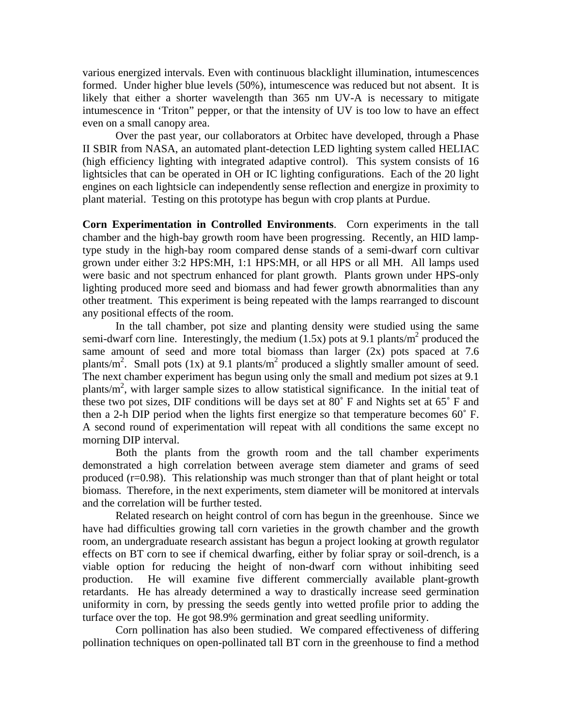various energized intervals. Even with continuous blacklight illumination, intumescences formed. Under higher blue levels (50%), intumescence was reduced but not absent. It is likely that either a shorter wavelength than 365 nm UV-A is necessary to mitigate intumescence in 'Triton" pepper, or that the intensity of UV is too low to have an effect even on a small canopy area.

Over the past year, our collaborators at Orbitec have developed, through a Phase II SBIR from NASA, an automated plant-detection LED lighting system called HELIAC (high efficiency lighting with integrated adaptive control). This system consists of 16 lightsicles that can be operated in OH or IC lighting configurations. Each of the 20 light engines on each lightsicle can independently sense reflection and energize in proximity to plant material. Testing on this prototype has begun with crop plants at Purdue.

**Corn Experimentation in Controlled Environments**. Corn experiments in the tall chamber and the high-bay growth room have been progressing. Recently, an HID lamptype study in the high-bay room compared dense stands of a semi-dwarf corn cultivar grown under either 3:2 HPS:MH, 1:1 HPS:MH, or all HPS or all MH. All lamps used were basic and not spectrum enhanced for plant growth. Plants grown under HPS-only lighting produced more seed and biomass and had fewer growth abnormalities than any other treatment. This experiment is being repeated with the lamps rearranged to discount any positional effects of the room.

In the tall chamber, pot size and planting density were studied using the same semi-dwarf corn line. Interestingly, the medium  $(1.5x)$  pots at 9.1 plants/m<sup>2</sup> produced the same amount of seed and more total biomass than larger  $(2x)$  pots spaced at 7.6 plants/m<sup>2</sup>. Small pots (1x) at 9.1 plants/m<sup>2</sup> produced a slightly smaller amount of seed. The next chamber experiment has begun using only the small and medium pot sizes at 9.1 plants/m<sup>2</sup>, with larger sample sizes to allow statistical significance. In the initial teat of these two pot sizes, DIF conditions will be days set at 80˚ F and Nights set at 65˚ F and then a 2-h DIP period when the lights first energize so that temperature becomes 60˚ F. A second round of experimentation will repeat with all conditions the same except no morning DIP interval.

Both the plants from the growth room and the tall chamber experiments demonstrated a high correlation between average stem diameter and grams of seed produced (r=0.98). This relationship was much stronger than that of plant height or total biomass. Therefore, in the next experiments, stem diameter will be monitored at intervals and the correlation will be further tested.

Related research on height control of corn has begun in the greenhouse. Since we have had difficulties growing tall corn varieties in the growth chamber and the growth room, an undergraduate research assistant has begun a project looking at growth regulator effects on BT corn to see if chemical dwarfing, either by foliar spray or soil-drench, is a viable option for reducing the height of non-dwarf corn without inhibiting seed production. He will examine five different commercially available plant-growth retardants. He has already determined a way to drastically increase seed germination uniformity in corn, by pressing the seeds gently into wetted profile prior to adding the turface over the top. He got 98.9% germination and great seedling uniformity.

Corn pollination has also been studied. We compared effectiveness of differing pollination techniques on open-pollinated tall BT corn in the greenhouse to find a method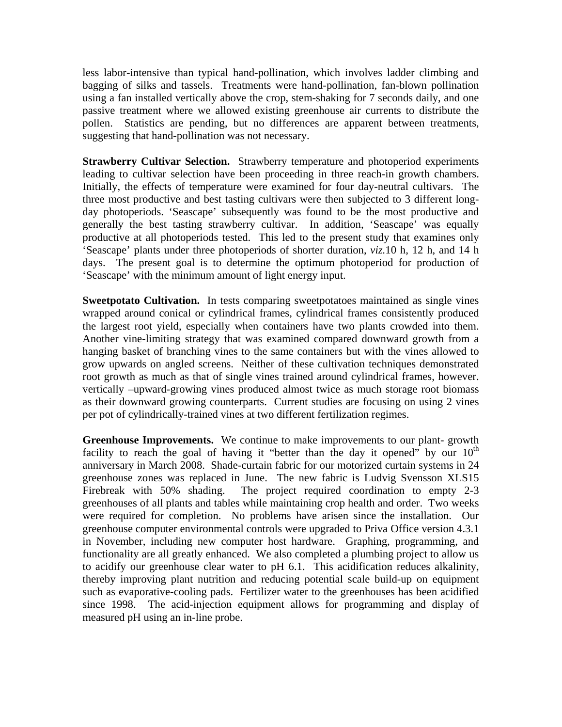less labor-intensive than typical hand-pollination, which involves ladder climbing and bagging of silks and tassels. Treatments were hand-pollination, fan-blown pollination using a fan installed vertically above the crop, stem-shaking for 7 seconds daily, and one passive treatment where we allowed existing greenhouse air currents to distribute the pollen. Statistics are pending, but no differences are apparent between treatments, suggesting that hand-pollination was not necessary.

**Strawberry Cultivar Selection.** Strawberry temperature and photoperiod experiments leading to cultivar selection have been proceeding in three reach-in growth chambers. Initially, the effects of temperature were examined for four day-neutral cultivars. The three most productive and best tasting cultivars were then subjected to 3 different longday photoperiods. 'Seascape' subsequently was found to be the most productive and generally the best tasting strawberry cultivar. In addition, 'Seascape' was equally productive at all photoperiods tested. This led to the present study that examines only 'Seascape' plants under three photoperiods of shorter duration, *viz.*10 h, 12 h, and 14 h days. The present goal is to determine the optimum photoperiod for production of 'Seascape' with the minimum amount of light energy input.

**Sweetpotato Cultivation.** In tests comparing sweetpotatoes maintained as single vines wrapped around conical or cylindrical frames, cylindrical frames consistently produced the largest root yield, especially when containers have two plants crowded into them. Another vine-limiting strategy that was examined compared downward growth from a hanging basket of branching vines to the same containers but with the vines allowed to grow upwards on angled screens. Neither of these cultivation techniques demonstrated root growth as much as that of single vines trained around cylindrical frames, however. vertically –upward-growing vines produced almost twice as much storage root biomass as their downward growing counterparts. Current studies are focusing on using 2 vines per pot of cylindrically-trained vines at two different fertilization regimes.

**Greenhouse Improvements.** We continue to make improvements to our plant- growth facility to reach the goal of having it "better than the day it opened" by our  $10<sup>th</sup>$ anniversary in March 2008.Shade-curtain fabric for our motorized curtain systems in 24 greenhouse zones was replaced in June. The new fabric is Ludvig Svensson XLS15 Firebreak with 50% shading. The project required coordination to empty 2-3 greenhouses of all plants and tables while maintaining crop health and order. Two weeks were required for completion. No problems have arisen since the installation. Our greenhouse computer environmental controls were upgraded to Priva Office version 4.3.1 in November, including new computer host hardware. Graphing, programming, and functionality are all greatly enhanced. We also completed a plumbing project to allow us to acidify our greenhouse clear water to pH 6.1. This acidification reduces alkalinity, thereby improving plant nutrition and reducing potential scale build-up on equipment such as evaporative-cooling pads. Fertilizer water to the greenhouses has been acidified since 1998. The acid-injection equipment allows for programming and display of measured pH using an in-line probe.